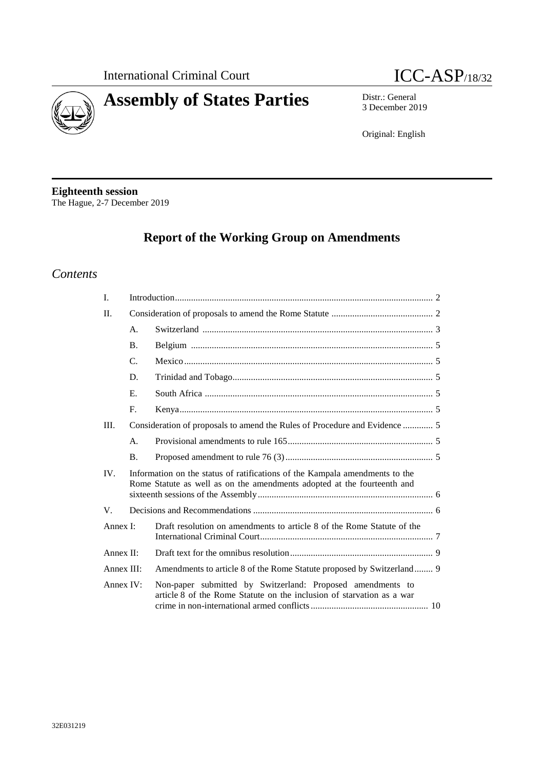



# **Assembly of States Parties** Distr.: General

3 December 2019

Original: English

**Eighteenth session** The Hague, 2-7 December 2019

# **Report of the Working Group on Amendments**

### *Contents*

| I.         |                                                                                                                                                        |                                                                                                                                     |
|------------|--------------------------------------------------------------------------------------------------------------------------------------------------------|-------------------------------------------------------------------------------------------------------------------------------------|
| II.        |                                                                                                                                                        |                                                                                                                                     |
|            | $\mathsf{A}$ .                                                                                                                                         |                                                                                                                                     |
|            | <b>B.</b>                                                                                                                                              |                                                                                                                                     |
|            | $C_{\cdot}$                                                                                                                                            |                                                                                                                                     |
|            | D.                                                                                                                                                     |                                                                                                                                     |
|            | $E_{\cdot}$                                                                                                                                            |                                                                                                                                     |
|            | F.                                                                                                                                                     |                                                                                                                                     |
| Ш.         | Consideration of proposals to amend the Rules of Procedure and Evidence  5                                                                             |                                                                                                                                     |
|            | $\mathbf{A}$ .                                                                                                                                         |                                                                                                                                     |
|            | <b>B.</b>                                                                                                                                              |                                                                                                                                     |
| IV.        | Information on the status of ratifications of the Kampala amendments to the<br>Rome Statute as well as on the amendments adopted at the fourteenth and |                                                                                                                                     |
| V.         |                                                                                                                                                        |                                                                                                                                     |
| Annex I:   |                                                                                                                                                        | Draft resolution on amendments to article 8 of the Rome Statute of the                                                              |
| Annex II:  |                                                                                                                                                        |                                                                                                                                     |
| Annex III: |                                                                                                                                                        | Amendments to article 8 of the Rome Statute proposed by Switzerland 9                                                               |
| Annex IV:  |                                                                                                                                                        | Non-paper submitted by Switzerland: Proposed amendments to<br>article 8 of the Rome Statute on the inclusion of starvation as a war |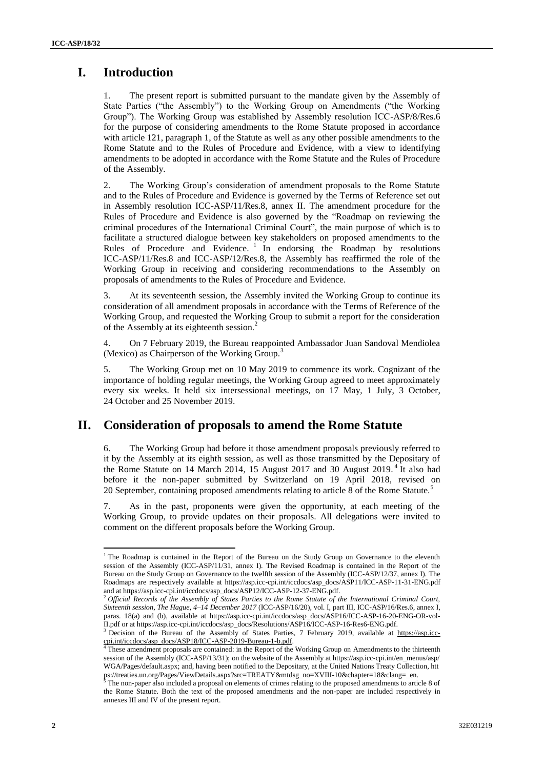# **I. Introduction**

The present report is submitted pursuant to the mandate given by the Assembly of State Parties ("the Assembly") to the Working Group on Amendments ("the Working Group"). The Working Group was established by Assembly resolution ICC-ASP/8/Res.6 for the purpose of considering amendments to the Rome Statute proposed in accordance with article 121, paragraph 1, of the Statute as well as any other possible amendments to the Rome Statute and to the Rules of Procedure and Evidence, with a view to identifying amendments to be adopted in accordance with the Rome Statute and the Rules of Procedure of the Assembly.

2. The Working Group's consideration of amendment proposals to the Rome Statute and to the Rules of Procedure and Evidence is governed by the Terms of Reference set out in Assembly [resolution ICC-ASP/11/Res.8,](http://icc-cpi.int/iccdocs/asp_docs/Resolutions/ASP11/ICC-ASP-11-Res8-ENG.pdf) annex II. The amendment procedure for the Rules of Procedure and Evidence is also governed by the "Roadmap on reviewing the criminal procedures of the International Criminal Court", the main purpose of which is to facilitate a structured dialogue between key stakeholders on proposed amendments to the Rules of Procedure and Evidence.<sup>1</sup> In endorsing the Roadmap by resolutions [ICC-ASP/11/Res.8](http://icc-cpi.int/iccdocs/asp_docs/Resolutions/ASP11/ICC-ASP-11-Res8-ENG.pdf) and ICC-ASP/12/Res.8, the Assembly has reaffirmed the role of the Working Group in receiving and considering recommendations to the Assembly on proposals of amendments to the Rules of Procedure and Evidence.

3. At its seventeenth session, the Assembly invited the Working Group to continue its consideration of all amendment proposals in accordance with the Terms of Reference of the Working Group, and requested the Working Group to submit a report for the consideration of the Assembly at its eighteenth session.<sup>2</sup>

4. On 7 February 2019, the Bureau reappointed Ambassador Juan Sandoval Mendiolea (Mexico) as Chairperson of the Working Group.<sup>3</sup>

5. The Working Group met on 10 May 2019 to commence its work. Cognizant of the importance of holding regular meetings, the Working Group agreed to meet approximately every six weeks. It held six intersessional meetings, on 17 May, 1 July, 3 October, 24 October and 25 November 2019.

### **II. Consideration of proposals to amend the Rome Statute**

6. The Working Group had before it those amendment proposals previously referred to it by the Assembly at its eighth session, as well as those transmitted by the Depositary of the Rome Statute on 14 March 2014, 15 August 2017 and 30 August 2019.<sup>4</sup> It also had before it the non-paper submitted by Switzerland on 19 April 2018, revised on 20 September, containing proposed amendments relating to article 8 of the Rome Statute.<sup>5</sup>

As in the past, proponents were given the opportunity, at each meeting of the Working Group, to provide updates on their proposals. All delegations were invited to comment on the different proposals before the Working Group.

 $\overline{a}$  $1$ <sup>1</sup> The Roadmap is contained in the Report of the Bureau on the Study Group on Governance to the eleventh session of the Assembly (ICC-ASP/11/31, annex I). The Revised Roadmap is contained in the Report of the Bureau on the Study Group on Governance to the twelfth session of the Assembly (ICC-ASP/12/37, annex I). The Roadmaps are respectively available at https://asp.icc-cpi.int/iccdocs/asp\_docs/ASP11/ICC-ASP-11-31-ENG.pdf and at https://asp.icc-cpi.int/iccdocs/asp\_docs/ASP12/ICC-ASP-12-37-ENG.pdf.

<sup>2</sup> *Official Records of the Assembly of States Parties to the Rome Statute of the International Criminal Court, Sixteenth session, The Hague, 4–14 December 2017* (ICC-ASP/16/20), vol. I, part III, ICC-ASP/16/Res.6, annex I, paras. 18(a) and (b), available at https://asp.icc-cpi.int/iccdocs/asp\_docs/ASP16/ICC-ASP-16-20-ENG-OR-vol-II.pdf or at https://asp.icc-cpi.int/iccdocs/asp\_docs/Resolutions/ASP16/ICC-ASP-16-Res6-ENG.pdf.

<sup>&</sup>lt;sup>3</sup> Decision of the Bureau of the Assembly of States Parties, 7 February 2019, available at [https://asp.icc](https://asp.icc-cpi.int/iccdocs/asp_docs/ASP18/ICC-ASP-2019-Bureau-1-b.pdf)[cpi.int/iccdocs/asp\\_docs/ASP18/ICC-ASP-2019-Bureau-1-b.pdf.](https://asp.icc-cpi.int/iccdocs/asp_docs/ASP18/ICC-ASP-2019-Bureau-1-b.pdf)

<sup>&</sup>lt;sup>4</sup> These amendment proposals are contained: in the Report of the Working Group on Amendments to the thirteenth session of the Assembly (ICC-ASP/13/31); on the website of the Assembly at [https://asp.icc-cpi.int/en\\_menus/asp/](https://asp.icccpi.int/en_menus/asp/WGA/Pages/default.aspx) [WGA/Pages/default.aspx;](https://asp.icccpi.int/en_menus/asp/WGA/Pages/default.aspx) and, having been notified to the Depositary, at the United Nations Treaty Collection, [htt](https://treaties.un.org/Pages/ViewDetails.aspx?src=TREATY&mtdsg_no=XVIII-10&chapter=18&clang=_en) [ps://treaties.un.org/Pages/ViewDetails.aspx?src=TREATY&mtdsg\\_no=XVIII-10&chapter=18&clang=\\_en.](https://treaties.un.org/Pages/ViewDetails.aspx?src=TREATY&mtdsg_no=XVIII-10&chapter=18&clang=_en)

 $5$  The non-paper also included a proposal on elements of crimes relating to the proposed amendments to article 8 of the Rome Statute. Both the text of the proposed amendments and the non-paper are included respectively in annexes III and IV of the present report.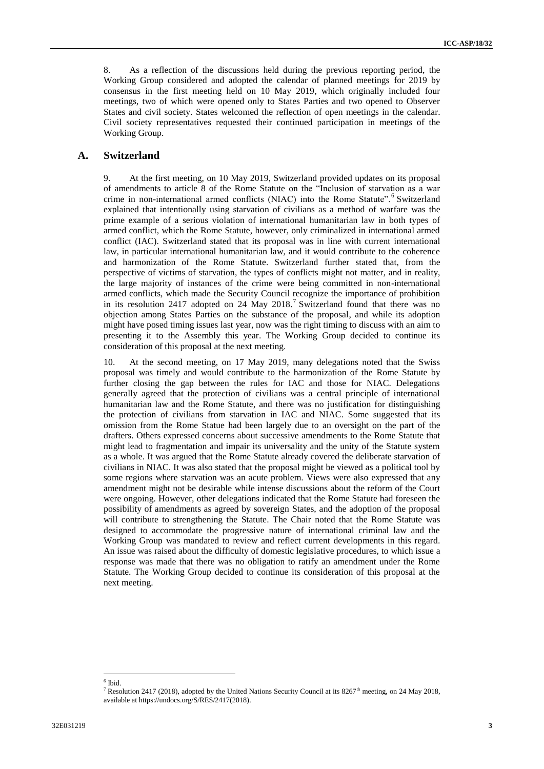8. As a reflection of the discussions held during the previous reporting period, the Working Group considered and adopted the calendar of planned meetings for 2019 by consensus in the first meeting held on 10 May 2019, which originally included four meetings, two of which were opened only to States Parties and two opened to Observer States and civil society. States welcomed the reflection of open meetings in the calendar. Civil society representatives requested their continued participation in meetings of the Working Group.

#### **A. Switzerland**

9. At the first meeting, on 10 May 2019, Switzerland provided updates on its proposal of amendments to article 8 of the Rome Statute on the "Inclusion of starvation as a war crime in non-international armed conflicts (NIAC) into the Rome Statute".<sup>6</sup> Switzerland explained that intentionally using starvation of civilians as a method of warfare was the prime example of a serious violation of international humanitarian law in both types of armed conflict, which the Rome Statute, however, only criminalized in international armed conflict (IAC). Switzerland stated that its proposal was in line with current international law, in particular international humanitarian law, and it would contribute to the coherence and harmonization of the Rome Statute. Switzerland further stated that, from the perspective of victims of starvation, the types of conflicts might not matter, and in reality, the large majority of instances of the crime were being committed in non-international armed conflicts, which made the Security Council recognize the importance of prohibition in its resolution 2417 adopted on 24 May 2018.<sup>7</sup> Switzerland found that there was no objection among States Parties on the substance of the proposal, and while its adoption might have posed timing issues last year, now was the right timing to discuss with an aim to presenting it to the Assembly this year. The Working Group decided to continue its consideration of this proposal at the next meeting.

10. At the second meeting, on 17 May 2019, many delegations noted that the Swiss proposal was timely and would contribute to the harmonization of the Rome Statute by further closing the gap between the rules for IAC and those for NIAC. Delegations generally agreed that the protection of civilians was a central principle of international humanitarian law and the Rome Statute, and there was no justification for distinguishing the protection of civilians from starvation in IAC and NIAC. Some suggested that its omission from the Rome Statue had been largely due to an oversight on the part of the drafters. Others expressed concerns about successive amendments to the Rome Statute that might lead to fragmentation and impair its universality and the unity of the Statute system as a whole. It was argued that the Rome Statute already covered the deliberate starvation of civilians in NIAC. It was also stated that the proposal might be viewed as a political tool by some regions where starvation was an acute problem. Views were also expressed that any amendment might not be desirable while intense discussions about the reform of the Court were ongoing. However, other delegations indicated that the Rome Statute had foreseen the possibility of amendments as agreed by sovereign States, and the adoption of the proposal will contribute to strengthening the Statute. The Chair noted that the Rome Statute was designed to accommodate the progressive nature of international criminal law and the Working Group was mandated to review and reflect current developments in this regard. An issue was raised about the difficulty of domestic legislative procedures, to which issue a response was made that there was no obligation to ratify an amendment under the Rome Statute. The Working Group decided to continue its consideration of this proposal at the next meeting.

 $\overline{\phantom{a}}$ 6 Ibid.

Resolution 2417 (2018), adopted by the United Nations Security Council at its  $8267<sup>th</sup>$  meeting, on 24 May 2018, available at https://undocs.org/S/RES/2417(2018).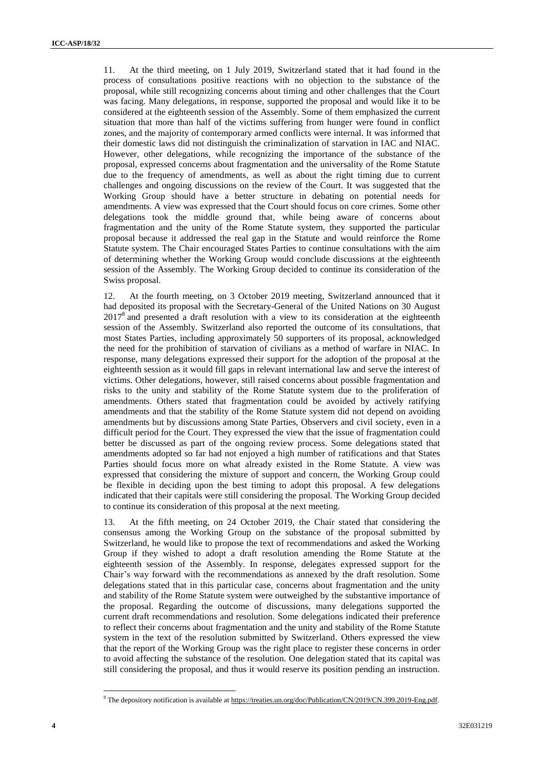11. At the third meeting, on 1 July 2019, Switzerland stated that it had found in the process of consultations positive reactions with no objection to the substance of the proposal, while still recognizing concerns about timing and other challenges that the Court was facing. Many delegations, in response, supported the proposal and would like it to be considered at the eighteenth session of the Assembly. Some of them emphasized the current situation that more than half of the victims suffering from hunger were found in conflict zones, and the majority of contemporary armed conflicts were internal. It was informed that their domestic laws did not distinguish the criminalization of starvation in IAC and NIAC. However, other delegations, while recognizing the importance of the substance of the proposal, expressed concerns about fragmentation and the universality of the Rome Statute due to the frequency of amendments, as well as about the right timing due to current challenges and ongoing discussions on the review of the Court. It was suggested that the Working Group should have a better structure in debating on potential needs for amendments. A view was expressed that the Court should focus on core crimes. Some other delegations took the middle ground that, while being aware of concerns about fragmentation and the unity of the Rome Statute system, they supported the particular proposal because it addressed the real gap in the Statute and would reinforce the Rome Statute system. The Chair encouraged States Parties to continue consultations with the aim of determining whether the Working Group would conclude discussions at the eighteenth session of the Assembly. The Working Group decided to continue its consideration of the Swiss proposal.

12. At the fourth meeting, on 3 October 2019 meeting, Switzerland announced that it had deposited its proposal with the Secretary-General of the United Nations on 30 August 2017<sup>8</sup> and presented a draft resolution with a view to its consideration at the eighteenth session of the Assembly. Switzerland also reported the outcome of its consultations, that most States Parties, including approximately 50 supporters of its proposal, acknowledged the need for the prohibition of starvation of civilians as a method of warfare in NIAC. In response, many delegations expressed their support for the adoption of the proposal at the eighteenth session as it would fill gaps in relevant international law and serve the interest of victims. Other delegations, however, still raised concerns about possible fragmentation and risks to the unity and stability of the Rome Statute system due to the proliferation of amendments. Others stated that fragmentation could be avoided by actively ratifying amendments and that the stability of the Rome Statute system did not depend on avoiding amendments but by discussions among State Parties, Observers and civil society, even in a difficult period for the Court. They expressed the view that the issue of fragmentation could better be discussed as part of the ongoing review process. Some delegations stated that amendments adopted so far had not enjoyed a high number of ratifications and that States Parties should focus more on what already existed in the Rome Statute. A view was expressed that considering the mixture of support and concern, the Working Group could be flexible in deciding upon the best timing to adopt this proposal. A few delegations indicated that their capitals were still considering the proposal. The Working Group decided to continue its consideration of this proposal at the next meeting.

13. At the fifth meeting, on 24 October 2019, the Chair stated that considering the consensus among the Working Group on the substance of the proposal submitted by Switzerland, he would like to propose the text of recommendations and asked the Working Group if they wished to adopt a draft resolution amending the Rome Statute at the eighteenth session of the Assembly. In response, delegates expressed support for the Chair's way forward with the recommendations as annexed by the draft resolution. Some delegations stated that in this particular case, concerns about fragmentation and the unity and stability of the Rome Statute system were outweighed by the substantive importance of the proposal. Regarding the outcome of discussions, many delegations supported the current draft recommendations and resolution. Some delegations indicated their preference to reflect their concerns about fragmentation and the unity and stability of the Rome Statute system in the text of the resolution submitted by Switzerland. Others expressed the view that the report of the Working Group was the right place to register these concerns in order to avoid affecting the substance of the resolution. One delegation stated that its capital was still considering the proposal, and thus it would reserve its position pending an instruction.

<sup>&</sup>lt;sup>8</sup> The depository notification is available at [https://treaties.un.org/doc/Publication/CN/2019/CN.399.2019-Eng.pdf.](https://treaties.un.org/doc/Publication/CN/2019/CN.399.2019-Eng.pdf)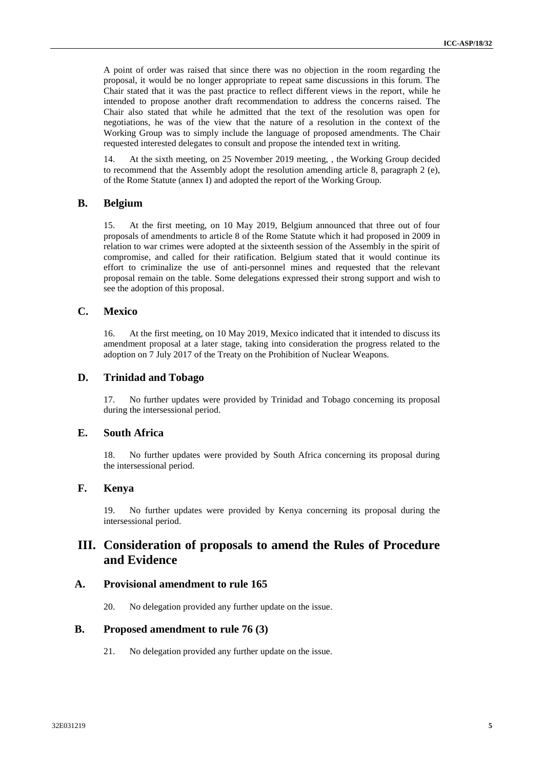A point of order was raised that since there was no objection in the room regarding the proposal, it would be no longer appropriate to repeat same discussions in this forum. The Chair stated that it was the past practice to reflect different views in the report, while he intended to propose another draft recommendation to address the concerns raised. The Chair also stated that while he admitted that the text of the resolution was open for negotiations, he was of the view that the nature of a resolution in the context of the Working Group was to simply include the language of proposed amendments. The Chair requested interested delegates to consult and propose the intended text in writing.

14. At the sixth meeting, on 25 November 2019 meeting, , the Working Group decided to recommend that the Assembly adopt the resolution amending article 8, paragraph 2 (e), of the Rome Statute (annex I) and adopted the report of the Working Group.

#### **B. Belgium**

15. At the first meeting, on 10 May 2019, Belgium announced that three out of four proposals of amendments to article 8 of the Rome Statute which it had proposed in 2009 in relation to war crimes were adopted at the sixteenth session of the Assembly in the spirit of compromise, and called for their ratification. Belgium stated that it would continue its effort to criminalize the use of anti-personnel mines and requested that the relevant proposal remain on the table. Some delegations expressed their strong support and wish to see the adoption of this proposal.

#### **C. Mexico**

16. At the first meeting, on 10 May 2019, Mexico indicated that it intended to discuss its amendment proposal at a later stage, taking into consideration the progress related to the adoption on 7 July 2017 of the Treaty on the Prohibition of Nuclear Weapons.

#### **D. Trinidad and Tobago**

17. No further updates were provided by Trinidad and Tobago concerning its proposal during the intersessional period.

#### **E. South Africa**

18. No further updates were provided by South Africa concerning its proposal during the intersessional period.

### **F. Kenya**

19. No further updates were provided by Kenya concerning its proposal during the intersessional period.

# **III. Consideration of proposals to amend the Rules of Procedure and Evidence**

#### **A. Provisional amendment to rule 165**

20. No delegation provided any further update on the issue.

### **B. Proposed amendment to rule 76 (3)**

21. No delegation provided any further update on the issue.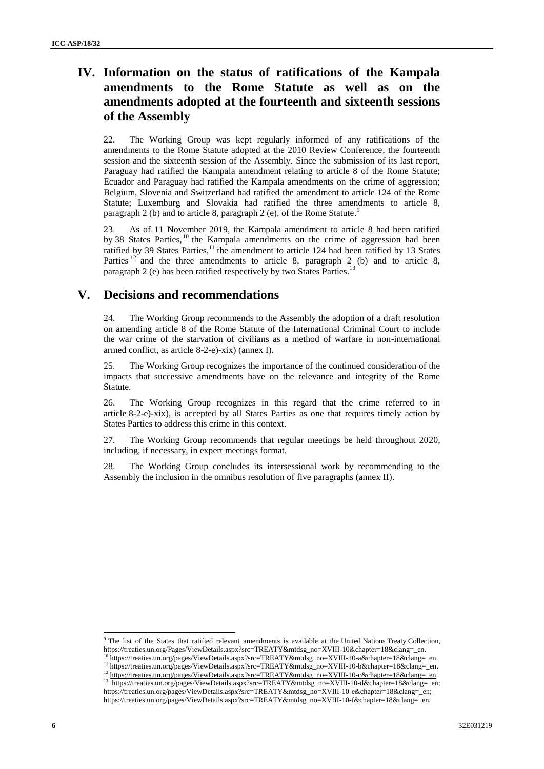# **IV. Information on the status of ratifications of the Kampala amendments to the Rome Statute as well as on the amendments adopted at the fourteenth and sixteenth sessions of the Assembly**

22. The Working Group was kept regularly informed of any ratifications of the amendments to the Rome Statute adopted at the 2010 Review Conference, the fourteenth session and the sixteenth session of the Assembly. Since the submission of its last report, Paraguay had ratified the Kampala amendment relating to article 8 of the Rome Statute; Ecuador and Paraguay had ratified the Kampala amendments on the crime of aggression; Belgium, Slovenia and Switzerland had ratified the amendment to article 124 of the Rome Statute; Luxemburg and Slovakia had ratified the three amendments to article 8, paragraph 2 (b) and to article 8, paragraph 2 (e), of the Rome Statute.<sup>9</sup>

23. As of 11 November 2019, the Kampala amendment to article 8 had been ratified by 38 States Parties, <sup>10</sup> the Kampala amendments on the crime of aggression had been ratified by 39 States Parties,<sup>11</sup> the amendment to article 124 had been ratified by 13 States Parties  $12$  and the three amendments to article 8, paragraph 2 (b) and to article 8, paragraph 2 (e) has been ratified respectively by two States Parties.<sup>13</sup>

### **V. Decisions and recommendations**

24. The Working Group recommends to the Assembly the adoption of a draft resolution on amending article 8 of the Rome Statute of the International Criminal Court to include the war crime of the starvation of civilians as a method of warfare in non-international armed conflict, as article 8-2-e)-xix) (annex I).

25. The Working Group recognizes the importance of the continued consideration of the impacts that successive amendments have on the relevance and integrity of the Rome Statute.

26. The Working Group recognizes in this regard that the crime referred to in article 8-2-e)-xix), is accepted by all States Parties as one that requires timely action by States Parties to address this crime in this context.

27. The Working Group recommends that regular meetings be held throughout 2020, including, if necessary, in expert meetings format.

28. The Working Group concludes its intersessional work by recommending to the Assembly the inclusion in the omnibus resolution of five paragraphs (annex II).

<sup>9</sup> The list of the States that ratified relevant amendments is available at the United Nations Treaty Collection, [https://treaties.un.org/Pages/ViewDetails.aspx?src=TREATY&mtdsg\\_no=XVIII-10&chapter=18&clang=\\_en.](https://treaties.un.org/Pages/ViewDetails.aspx?src=TREATY&mtdsg_no=XVIII-10&chapter=18&clang=_en)

<sup>10</sup> https://treaties.un.org/pages/ViewDetails.aspx?src=TREATY&mtdsg\_no=XVIII-10-a&chapter=18&clang=\_en.

<sup>11</sup> [https://treaties.un.org/pages/ViewDetails.aspx?src=TREATY&mtdsg\\_no=XVIII-10-b&chapter=18&clang=\\_en.](https://treaties.un.org/pages/ViewDetails.aspx?src=TREATY&mtdsg_no=XVIII-10-b&chapter=18&clang=_en) 12 [https://treaties.un.org/pages/ViewDetails.aspx?src=TREATY&mtdsg\\_no=XVIII-10-c&chapter=18&clang=\\_en.](https://treaties.un.org/pages/ViewDetails.aspx?src=TREATY&mtdsg_no=XVIII-10-c&chapter=18&clang=_en)

<sup>&</sup>lt;sup>13</sup> https://treaties.un.org/pages/ViewDetails.aspx?src=TREATY&mtdsg\_no=XVIII-10-d&chapter=18&clang=\_en; https://treaties.un.org/pages/ViewDetails.aspx?src=TREATY&mtdsg\_no=XVIII-10-e&chapter=18&clang=\_en; https://treaties.un.org/pages/ViewDetails.aspx?src=TREATY&mtdsg\_no=XVIII-10-f&chapter=18&clang=\_en.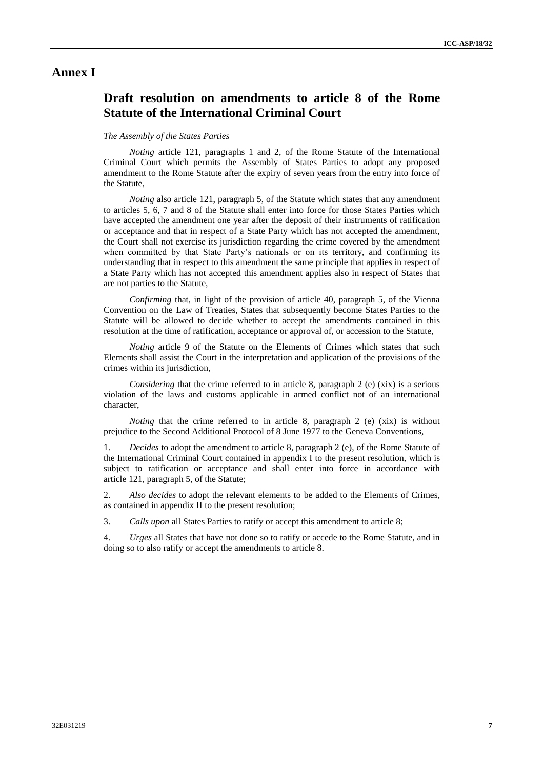### **Annex I**

## **Draft resolution on amendments to article 8 of the Rome Statute of the International Criminal Court**

#### *The Assembly of the States Parties*

*Noting* article 121, paragraphs 1 and 2, of the Rome Statute of the International Criminal Court which permits the Assembly of States Parties to adopt any proposed amendment to the Rome Statute after the expiry of seven years from the entry into force of the Statute,

*Noting* also article 121, paragraph 5, of the Statute which states that any amendment to articles 5, 6, 7 and 8 of the Statute shall enter into force for those States Parties which have accepted the amendment one year after the deposit of their instruments of ratification or acceptance and that in respect of a State Party which has not accepted the amendment, the Court shall not exercise its jurisdiction regarding the crime covered by the amendment when committed by that State Party's nationals or on its territory, and confirming its understanding that in respect to this amendment the same principle that applies in respect of a State Party which has not accepted this amendment applies also in respect of States that are not parties to the Statute,

*Confirming* that, in light of the provision of article 40, paragraph 5, of the Vienna Convention on the Law of Treaties, States that subsequently become States Parties to the Statute will be allowed to decide whether to accept the amendments contained in this resolution at the time of ratification, acceptance or approval of, or accession to the Statute,

*Noting* article 9 of the Statute on the Elements of Crimes which states that such Elements shall assist the Court in the interpretation and application of the provisions of the crimes within its jurisdiction,

*Considering* that the crime referred to in article 8, paragraph 2 (e) (xix) is a serious violation of the laws and customs applicable in armed conflict not of an international character,

*Noting* that the crime referred to in article 8, paragraph 2 (e) (xix) is without prejudice to the Second Additional Protocol of 8 June 1977 to the Geneva Conventions,

1. *Decides* to adopt the amendment to article 8, paragraph 2 (e), of the Rome Statute of the International Criminal Court contained in appendix I to the present resolution, which is subject to ratification or acceptance and shall enter into force in accordance with article 121, paragraph 5, of the Statute;

2. *Also decides* to adopt the relevant elements to be added to the Elements of Crimes, as contained in appendix II to the present resolution;

3. *Calls upon* all States Parties to ratify or accept this amendment to article 8;

4. *Urges* all States that have not done so to ratify or accede to the Rome Statute, and in doing so to also ratify or accept the amendments to article 8.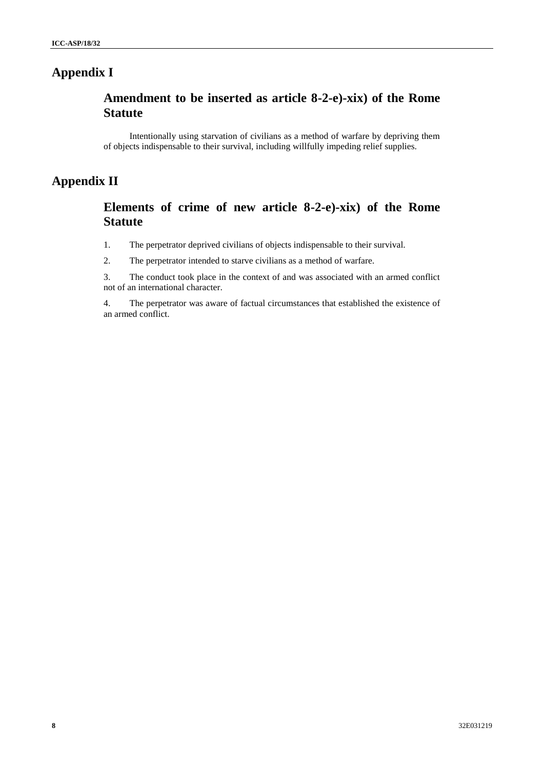# **Appendix I**

# **Amendment to be inserted as article 8-2-e)-xix) of the Rome Statute**

Intentionally using starvation of civilians as a method of warfare by depriving them of objects indispensable to their survival, including willfully impeding relief supplies.

# **Appendix II**

# **Elements of crime of new article 8-2-e)-xix) of the Rome Statute**

1. The perpetrator deprived civilians of objects indispensable to their survival.

2. The perpetrator intended to starve civilians as a method of warfare.

3. The conduct took place in the context of and was associated with an armed conflict not of an international character.

4. The perpetrator was aware of factual circumstances that established the existence of an armed conflict.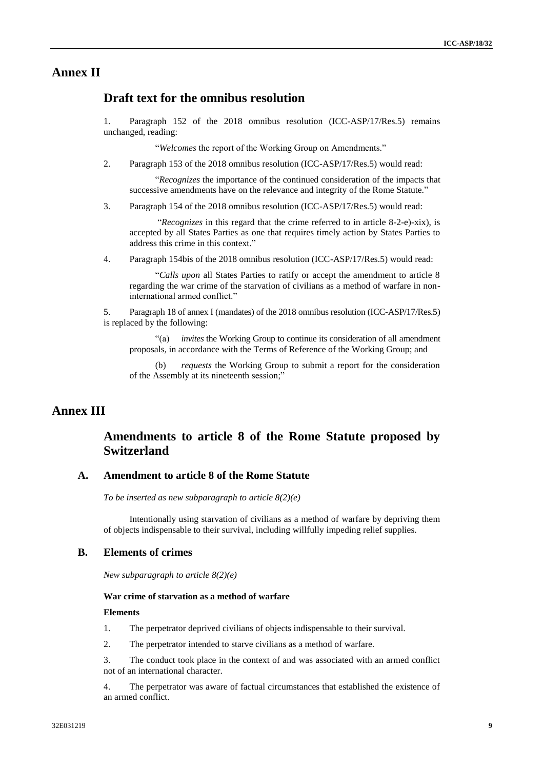### **Annex II**

### **Draft text for the omnibus resolution**

1. Paragraph 152 of the 2018 omnibus resolution (ICC-ASP/17/Res.5) remains unchanged, reading:

"*Welcomes* the report of the Working Group on Amendments."

2. Paragraph 153 of the 2018 omnibus resolution (ICC-ASP/17/Res.5) would read:

"*Recognizes* the importance of the continued consideration of the impacts that successive amendments have on the relevance and integrity of the Rome Statute."

3. Paragraph 154 of the 2018 omnibus resolution (ICC-ASP/17/Res.5) would read:

"*Recognizes* in this regard that the crime referred to in article 8-2-e)-xix), is accepted by all States Parties as one that requires timely action by States Parties to address this crime in this context."

4. Paragraph 154bis of the 2018 omnibus resolution (ICC-ASP/17/Res.5) would read:

"*Calls upon* all States Parties to ratify or accept the amendment to article 8 regarding the war crime of the starvation of civilians as a method of warfare in noninternational armed conflict."

5. Paragraph 18 of annex I (mandates) of the 2018 omnibus resolution (ICC-ASP/17/Res.5) is replaced by the following:

"(a) *invites* the Working Group to continue its consideration of all amendment proposals, in accordance with the Terms of Reference of the Working Group; and

(b) *requests* the Working Group to submit a report for the consideration of the Assembly at its nineteenth session;"

### **Annex III**

### **Amendments to article 8 of the Rome Statute proposed by Switzerland**

### **A. Amendment to article 8 of the Rome Statute**

*To be inserted as new subparagraph to article 8(2)(e)* 

Intentionally using starvation of civilians as a method of warfare by depriving them of objects indispensable to their survival, including willfully impeding relief supplies.

#### **B. Elements of crimes**

*New subparagraph to article 8(2)(e)* 

#### **War crime of starvation as a method of warfare**

#### **Elements**

- 1. The perpetrator deprived civilians of objects indispensable to their survival.
- 2. The perpetrator intended to starve civilians as a method of warfare.

3. The conduct took place in the context of and was associated with an armed conflict not of an international character.

4. The perpetrator was aware of factual circumstances that established the existence of an armed conflict.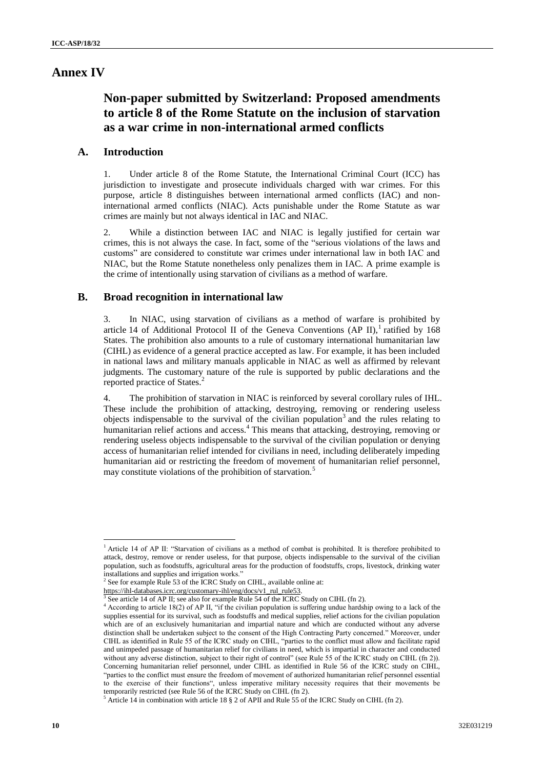### **Annex IV**

# **Non-paper submitted by Switzerland: Proposed amendments to article 8 of the Rome Statute on the inclusion of starvation as a war crime in non-international armed conflicts**

### **A. Introduction**

1. Under article 8 of the Rome Statute, the International Criminal Court (ICC) has jurisdiction to investigate and prosecute individuals charged with war crimes. For this purpose, article 8 distinguishes between international armed conflicts (IAC) and noninternational armed conflicts (NIAC). Acts punishable under the Rome Statute as war crimes are mainly but not always identical in IAC and NIAC.

2. While a distinction between IAC and NIAC is legally justified for certain war crimes, this is not always the case. In fact, some of the "serious violations of the laws and customs" are considered to constitute war crimes under international law in both IAC and NIAC, but the Rome Statute nonetheless only penalizes them in IAC. A prime example is the crime of intentionally using starvation of civilians as a method of warfare.

#### **B. Broad recognition in international law**

3. In NIAC, using starvation of civilians as a method of warfare is prohibited by article 14 of Additional Protocol II of the Geneva Conventions (AP II),<sup>1</sup> ratified by 168 States. The prohibition also amounts to a rule of customary international humanitarian law (CIHL) as evidence of a general practice accepted as law. For example, it has been included in national laws and military manuals applicable in NIAC as well as affirmed by relevant judgments. The customary nature of the rule is supported by public declarations and the reported practice of States.<sup>2</sup>

4. The prohibition of starvation in NIAC is reinforced by several corollary rules of IHL. These include the prohibition of attacking, destroying, removing or rendering useless objects indispensable to the survival of the civilian population<sup>3</sup> and the rules relating to humanitarian relief actions and access.<sup>4</sup> This means that attacking, destroying, removing or rendering useless objects indispensable to the survival of the civilian population or denying access of humanitarian relief intended for civilians in need, including deliberately impeding humanitarian aid or restricting the freedom of movement of humanitarian relief personnel, may constitute violations of the prohibition of starvation.<sup>5</sup>

<sup>&</sup>lt;sup>1</sup> Article 14 of AP II: "Starvation of civilians as a method of combat is prohibited. It is therefore prohibited to attack, destroy, remove or render useless, for that purpose, objects indispensable to the survival of the civilian population, such as foodstuffs, agricultural areas for the production of foodstuffs, crops, livestock, drinking water installations and supplies and irrigation works."

 $2^{2}$  See for example Rule 53 of the ICRC Study on CIHL, available online at:

[https://ihl-databases.icrc.org/customary-ihl/eng/docs/v1\\_rul\\_rule53.](https://ihldatabases.icrc.org/customary-ihl/eng/docs/v1_rul_rule53)<br><sup>3</sup> See ertiels 14 of AB II: see also for example Puls 54 of the ICBC.

See article 14 of AP II; see also for example Rule 54 of the ICRC Study on CIHL (fn 2).

<sup>&</sup>lt;sup>4</sup> According to article 18(2) of AP II, "if the civilian population is suffering undue hardship owing to a lack of the supplies essential for its survival, such as foodstuffs and medical supplies, relief actions for the civilian population which are of an exclusively humanitarian and impartial nature and which are conducted without any adverse distinction shall be undertaken subject to the consent of the High Contracting Party concerned." Moreover, under CIHL as identified in Rule 55 of the ICRC study on CIHL, "parties to the conflict must allow and facilitate rapid and unimpeded passage of humanitarian relief for civilians in need, which is impartial in character and conducted without any adverse distinction, subject to their right of control" (see Rule 55 of the ICRC study on CIHL (fn 2)). Concerning humanitarian relief personnel, under CIHL as identified in Rule 56 of the ICRC study on CIHL, "parties to the conflict must ensure the freedom of movement of authorized humanitarian relief personnel essential to the exercise of their functions", unless imperative military necessity requires that their movements be temporarily restricted (see Rule 56 of the ICRC Study on CIHL (fn 2).

<sup>5</sup> Article 14 in combination with article 18 § 2 of APII and Rule 55 of the ICRC Study on CIHL (fn 2).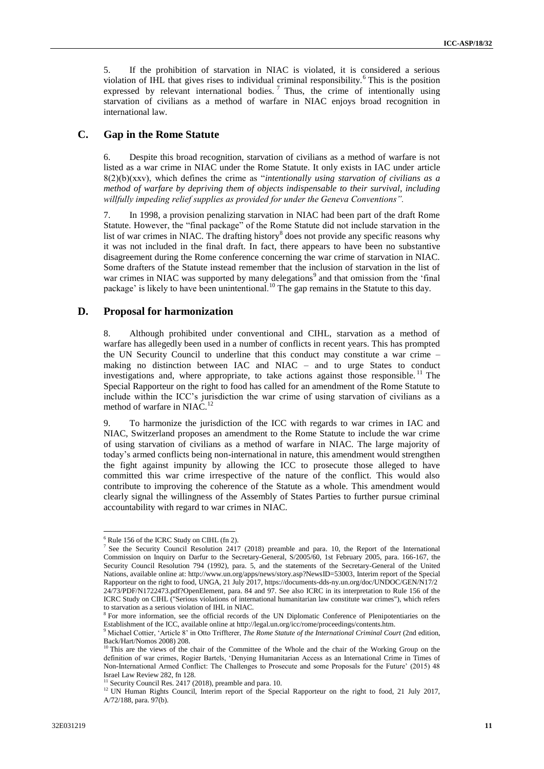5. If the prohibition of starvation in NIAC is violated, it is considered a serious violation of IHL that gives rises to individual criminal responsibility.<sup>6</sup> This is the position expressed by relevant international bodies.<sup>7</sup> Thus, the crime of intentionally using starvation of civilians as a method of warfare in NIAC enjoys broad recognition in international law.

#### **C. Gap in the Rome Statute**

6. Despite this broad recognition, starvation of civilians as a method of warfare is not listed as a war crime in NIAC under the Rome Statute. It only exists in IAC under article 8(2)(b)(xxv), which defines the crime as "*intentionally using starvation of civilians as a method of warfare by depriving them of objects indispensable to their survival, including willfully impeding relief supplies as provided for under the Geneva Conventions".* 

7. In 1998, a provision penalizing starvation in NIAC had been part of the draft Rome Statute. However, the "final package" of the Rome Statute did not include starvation in the list of war crimes in NIAC. The drafting history<sup>8</sup> does not provide any specific reasons why it was not included in the final draft. In fact, there appears to have been no substantive disagreement during the Rome conference concerning the war crime of starvation in NIAC. Some drafters of the Statute instead remember that the inclusion of starvation in the list of war crimes in NIAC was supported by many delegations<sup>9</sup> and that omission from the 'final package' is likely to have been unintentional.<sup>10</sup> The gap remains in the Statute to this day.

### **D. Proposal for harmonization**

8. Although prohibited under conventional and CIHL, starvation as a method of warfare has allegedly been used in a number of conflicts in recent years. This has prompted the UN Security Council to underline that this conduct may constitute a war crime – making no distinction between IAC and NIAC – and to urge States to conduct investigations and, where appropriate, to take actions against those responsible.<sup>11</sup> The Special Rapporteur on the right to food has called for an amendment of the Rome Statute to include within the ICC's jurisdiction the war crime of using starvation of civilians as a method of warfare in NIAC.<sup>12</sup>

9. To harmonize the jurisdiction of the ICC with regards to war crimes in IAC and NIAC, Switzerland proposes an amendment to the Rome Statute to include the war crime of using starvation of civilians as a method of warfare in NIAC. The large majority of today's armed conflicts being non-international in nature, this amendment would strengthen the fight against impunity by allowing the ICC to prosecute those alleged to have committed this war crime irrespective of the nature of the conflict. This would also contribute to improving the coherence of the Statute as a whole. This amendment would clearly signal the willingness of the Assembly of States Parties to further pursue criminal accountability with regard to war crimes in NIAC.

l

<sup>6</sup> Rule 156 of the ICRC Study on CIHL (fn 2).

<sup>7</sup> See the Security Council Resolution 2417 (2018) preamble and para. 10, the Report of the International Commission on Inquiry on Darfur to the Secretary-General, S/2005/60, 1st February 2005, para. 166-167, the Security Council Resolution 794 (1992), para. 5, and the statements of the Secretary-General of the United Nations, available online at: [http://www.un.org/apps/news/story.asp?NewsID=53003,](http://www.un.org/apps/news/story.asp?NewsID=53003) Interim report of the Special Rapporteur on the right to food, UNGA, 21 July 2017, [https://documents-dds-ny.un.org/doc/UNDOC/GEN/N17/2](https://documentsddsny.un.org/doc/UNDOC/GEN/N17/224/73/PDF/N1722473.pdf?OpenElement) [24/73/PDF/N1722473.pdf?OpenElement,](https://documentsddsny.un.org/doc/UNDOC/GEN/N17/224/73/PDF/N1722473.pdf?OpenElement) para. 84 and 97. See also ICRC in its interpretation to Rule 156 of the ICRC Study on CIHL ("Serious violations of international humanitarian law constitute war crimes"), which refers to starvation as a serious violation of IHL in NIAC.

<sup>&</sup>lt;sup>8</sup> For more information, see the official records of the UN Diplomatic Conference of Plenipotentiaries on the Establishment of the ICC, available online a[t http://legal.un.org/icc/rome/proceedings/contents.htm.](http://legal.un.org/icc/rome/proceedings/contents.htm)

<sup>9</sup> Michael Cottier, 'Article 8' in Otto Triffterer, *The Rome Statute of the International Criminal Court* (2nd edition, Back/Hart/Nomos 2008) 208.

<sup>&</sup>lt;sup>10</sup> This are the views of the chair of the Committee of the Whole and the chair of the Working Group on the definition of war crimes, Rogier Bartels, 'Denying Humanitarian Access as an International Crime in Times of Non-International Armed Conflict: The Challenges to Prosecute and some Proposals for the Future' (2015) 48 Israel Law Review 282, fn 128.

<sup>&</sup>lt;sup>11</sup> Security Council Res. 2417 (2018), preamble and para. 10.

<sup>&</sup>lt;sup>12</sup> UN Human Rights Council, Interim report of the Special Rapporteur on the right to food, 21 July 2017, A/72/188, para. 97(b).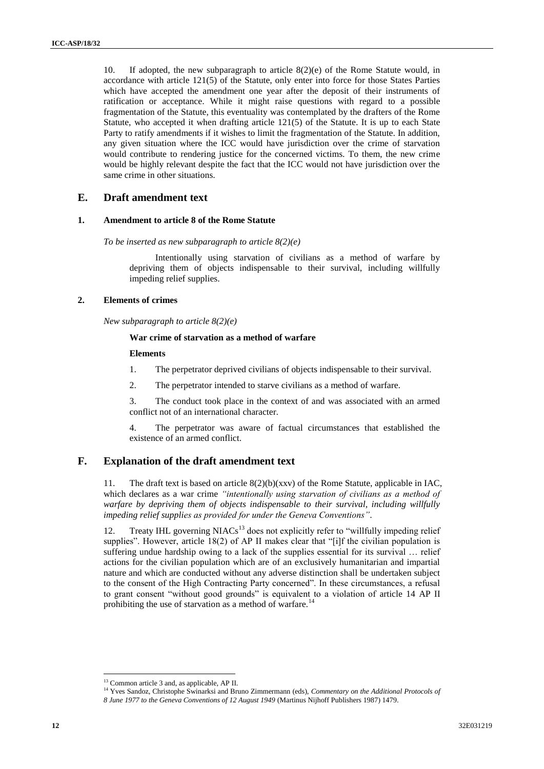10. If adopted, the new subparagraph to article 8(2)(e) of the Rome Statute would, in accordance with article 121(5) of the Statute, only enter into force for those States Parties which have accepted the amendment one year after the deposit of their instruments of ratification or acceptance. While it might raise questions with regard to a possible fragmentation of the Statute, this eventuality was contemplated by the drafters of the Rome Statute, who accepted it when drafting article 121(5) of the Statute. It is up to each State Party to ratify amendments if it wishes to limit the fragmentation of the Statute. In addition, any given situation where the ICC would have jurisdiction over the crime of starvation would contribute to rendering justice for the concerned victims. To them, the new crime would be highly relevant despite the fact that the ICC would not have jurisdiction over the same crime in other situations.

#### **E. Draft amendment text**

#### **1. Amendment to article 8 of the Rome Statute**

*To be inserted as new subparagraph to article 8(2)(e)*

Intentionally using starvation of civilians as a method of warfare by depriving them of objects indispensable to their survival, including willfully impeding relief supplies.

#### **2. Elements of crimes**

*New subparagraph to article 8(2)(e)*

#### **War crime of starvation as a method of warfare**

#### **Elements**

- 1. The perpetrator deprived civilians of objects indispensable to their survival.
- 2. The perpetrator intended to starve civilians as a method of warfare.

3. The conduct took place in the context of and was associated with an armed conflict not of an international character.

4. The perpetrator was aware of factual circumstances that established the existence of an armed conflict.

#### **F. Explanation of the draft amendment text**

11. The draft text is based on article 8(2)(b)(xxv) of the Rome Statute, applicable in IAC, which declares as a war crime *"intentionally using starvation of civilians as a method of warfare by depriving them of objects indispensable to their survival, including willfully impeding relief supplies as provided for under the Geneva Conventions"*.

12. Treaty IHL governing  $NIACs<sup>13</sup>$  does not explicitly refer to "willfully impeding relief supplies". However, article 18(2) of AP II makes clear that "[i]f the civilian population is suffering undue hardship owing to a lack of the supplies essential for its survival … relief actions for the civilian population which are of an exclusively humanitarian and impartial nature and which are conducted without any adverse distinction shall be undertaken subject to the consent of the High Contracting Party concerned". In these circumstances, a refusal to grant consent "without good grounds" is equivalent to a violation of article 14 AP II prohibiting the use of starvation as a method of warfare.<sup>14</sup>

<sup>13</sup> Common article 3 and, as applicable, AP II.

<sup>&</sup>lt;sup>14</sup> Yves Sandoz, Christophe Swinarksi and Bruno Zimmermann (eds), *Commentary on the Additional Protocols of* 

*<sup>8</sup> June 1977 to the Geneva Conventions of 12 August 1949* (Martinus Nijhoff Publishers 1987) 1479.